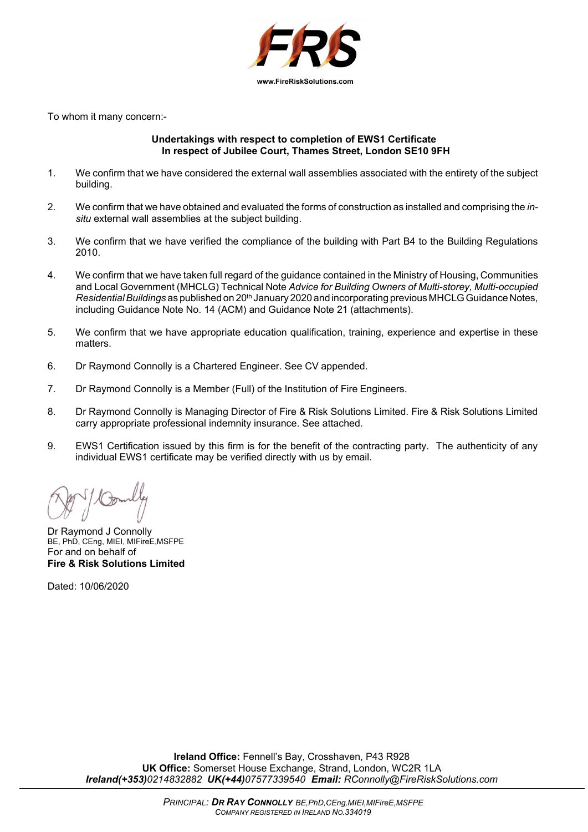

To whom it many concern:-

#### **Undertakings with respect to completion of EWS1 Certificate In respect of Jubilee Court, Thames Street, London SE10 9FH**

- 1. We confirm that we have considered the external wall assemblies associated with the entirety of the subject building.
- 2. We confirm that we have obtained and evaluated the forms of construction as installed and comprising the *insitu* external wall assemblies at the subject building.
- 3. We confirm that we have verified the compliance of the building with Part B4 to the Building Regulations 2010.
- 4. We confirm that we have taken full regard of the guidance contained in the Ministry of Housing, Communities and Local Government (MHCLG) Technical Note *Advice for Building Owners of Multi-storey, Multi-occupied Residential Buildings* as published on 20<sup>th</sup> January 2020 and incorporating previous MHCLG Guidance Notes, including Guidance Note No. 14 (ACM) and Guidance Note 21 (attachments).
- 5. We confirm that we have appropriate education qualification, training, experience and expertise in these matters.
- 6. Dr Raymond Connolly is a Chartered Engineer. See CV appended.
- 7. Dr Raymond Connolly is a Member (Full) of the Institution of Fire Engineers.
- 8. Dr Raymond Connolly is Managing Director of Fire & Risk Solutions Limited. Fire & Risk Solutions Limited carry appropriate professional indemnity insurance. See attached.
- 9. EWS1 Certification issued by this firm is for the benefit of the contracting party. The authenticity of any individual EWS1 certificate may be verified directly with us by email.

Dr Raymond J Connolly BE, PhD, CEng, MIEI, MIFireE,MSFPE For and on behalf of **Fire & Risk Solutions Limited**

Dated: 10/06/2020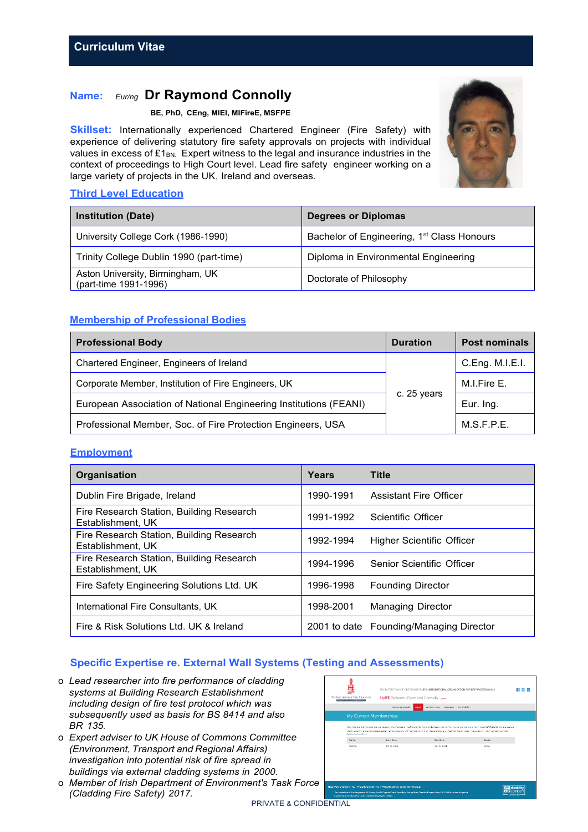# **Name:** *Eur/ng* **Dr Raymond Connolly**

#### **BE, PhD, CEng, MIEI, MIFireE, MSFPE**

**Skillset:** Internationally experienced Chartered Engineer (Fire Safety) with experience of delivering statutory fire safety approvals on projects with individual values in excess of  $£1<sub>BN</sub>$ . Expert witness to the legal and insurance industries in the context of proceedings to High Court level. Lead fire safety engineer working on a large variety of projects in the UK, Ireland and overseas.

## **Third Level Education**

| <b>Institution (Date)</b>                                 | <b>Degrees or Diplomas</b>                             |
|-----------------------------------------------------------|--------------------------------------------------------|
| University College Cork (1986-1990)                       | Bachelor of Engineering, 1 <sup>st</sup> Class Honours |
| Trinity College Dublin 1990 (part-time)                   | Diploma in Environmental Engineering                   |
| Aston University, Birmingham, UK<br>(part-time 1991-1996) | Doctorate of Philosophy                                |

# **Membership of Professional Bodies**

| <b>Professional Body</b>                                          | <b>Duration</b> | <b>Post nominals</b> |
|-------------------------------------------------------------------|-----------------|----------------------|
| Chartered Engineer, Engineers of Ireland                          | c. 25 years     | C.Eng. M.I.E.I.      |
| Corporate Member, Institution of Fire Engineers, UK               |                 | M.I.Fire E.          |
| European Association of National Engineering Institutions (FEANI) |                 | Eur. Ing.            |
| Professional Member, Soc. of Fire Protection Engineers, USA       |                 | M.S.F.P.E.           |

## **Employment**

| Organisation                                                  | Years     | <b>Title</b>                            |
|---------------------------------------------------------------|-----------|-----------------------------------------|
| Dublin Fire Brigade, Ireland                                  | 1990-1991 | <b>Assistant Fire Officer</b>           |
| Fire Research Station, Building Research<br>Establishment, UK | 1991-1992 | Scientific Officer                      |
| Fire Research Station, Building Research<br>Establishment, UK | 1992-1994 | Higher Scientific Officer               |
| Fire Research Station, Building Research<br>Establishment, UK | 1994-1996 | Senior Scientific Officer               |
| Fire Safety Engineering Solutions Ltd. UK                     | 1996-1998 | <b>Founding Director</b>                |
| International Fire Consultants, UK                            | 1998-2001 | <b>Managing Director</b>                |
| Fire & Risk Solutions Ltd. UK & Ireland                       |           | 2001 to date Founding/Managing Director |

# **Specific Expertise re. External Wall Systems (Testing and Assessments)**

- o *Lead researcher into fire performance of cladding systems at Building Research Establishment including design of fire test protocol which was subsequently used as basis for BS 8414 and also BR 135.*
- o *Expert adviser to UK House of Commons Committee (Environment, Transport and Regional Affairs) investigation into potential risk of fire spread in buildings via external cladding systems in 2000.*
- o *Member of Irish Department of Environment's Task Force (Cladding Fire Safety) 2017.*



PRIVATE & CONFIDENTIAL